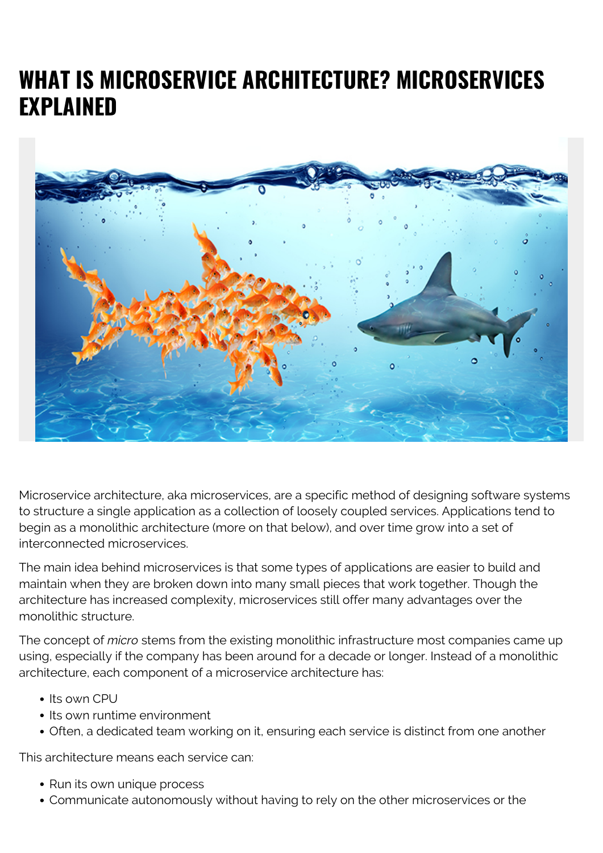# **WHAT IS MICROSERVICE ARCHITECTURE? MICROSERVICES EXPLAINED**



Microservice architecture, aka microservices, are a specific method of designing software systems to structure a single application as a collection of loosely coupled services. Applications tend to begin as a monolithic architecture (more on that below), and over time grow into a set of interconnected microservices.

The main idea behind microservices is that some types of applications are easier to build and maintain when they are broken down into many small pieces that work together. Though the architecture has increased complexity, microservices still offer many advantages over the monolithic structure.

The concept of *micro* stems from the existing monolithic infrastructure most companies came up using, especially if the company has been around for a decade or longer. Instead of a monolithic architecture, each component of a microservice architecture has:

- Its own CPU
- Its own runtime environment
- Often, a dedicated team working on it, ensuring each service is distinct from one another

This architecture means each service can:

- Run its own unique process
- Communicate autonomously without having to rely on the other microservices or the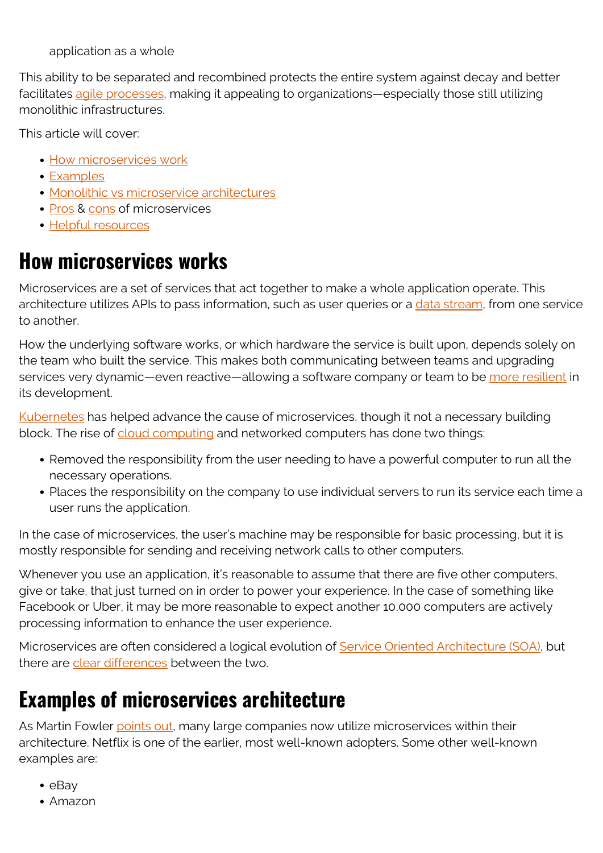application as a whole

This ability to be separated and recombined protects the entire system against decay and better facilitates [agile processes,](https://blogs.bmc.com/blogs/agile-vs-waterfall/) making it appealing to organizations—especially those still utilizing monolithic infrastructures.

This article will cover:

- [How microservices work](#page--1-0)
- [Examples](#page--1-0)
- [Monolithic vs microservice architectures](#page--1-0)
- [Pros](#page--1-0) & [cons](#page--1-0) of microservices
- [Helpful resources](#page--1-0)

# **How microservices works**

Microservices are a set of services that act together to make a whole application operate. This architecture utilizes APIs to pass information, such as user queries or a [data stream,](https://blogs.bmc.com/blogs/data-streaming/) from one service to another.

How the underlying software works, or which hardware the service is built upon, depends solely on the team who built the service. This makes both communicating between teams and upgrading services very dynamic—even reactive—allowing a software company or team to be [more resilient](https://blogs.bmc.com/blogs/resiliency-vs-redundancy/) in its development.

[Kubernetes](https://blogs.bmc.com/blogs/what-is-kubernetes/) has helped advance the cause of microservices, though it not a necessary building block. The rise of [cloud computing](https://blogs.bmc.com/blogs/public-private-hybrid-cloud/) and networked computers has done two things:

- Removed the responsibility from the user needing to have a powerful computer to run all the necessary operations.
- Places the responsibility on the company to use individual servers to run its service each time a user runs the application.

In the case of microservices, the user's machine may be responsible for basic processing, but it is mostly responsible for sending and receiving network calls to other computers.

Whenever you use an application, it's reasonable to assume that there are five other computers, give or take, that just turned on in order to power your experience. In the case of something like Facebook or Uber, it may be more reasonable to expect another 10,000 computers are actively processing information to enhance the user experience.

Microservices are often considered a logical evolution of **Service Oriented Architecture (SOA)**, but there are [clear differences](https://blogs.bmc.com/blogs/microservices-vs-soa-whats-difference/) between the two.

## **Examples of microservices architecture**

As Martin Fowler [points out,](https://martinfowler.com/articles/microservices.html) many large companies now utilize microservices within their architecture. Netflix is one of the earlier, most well-known adopters. Some other well-known examples are:

- $\bullet$  eBay
- Amazon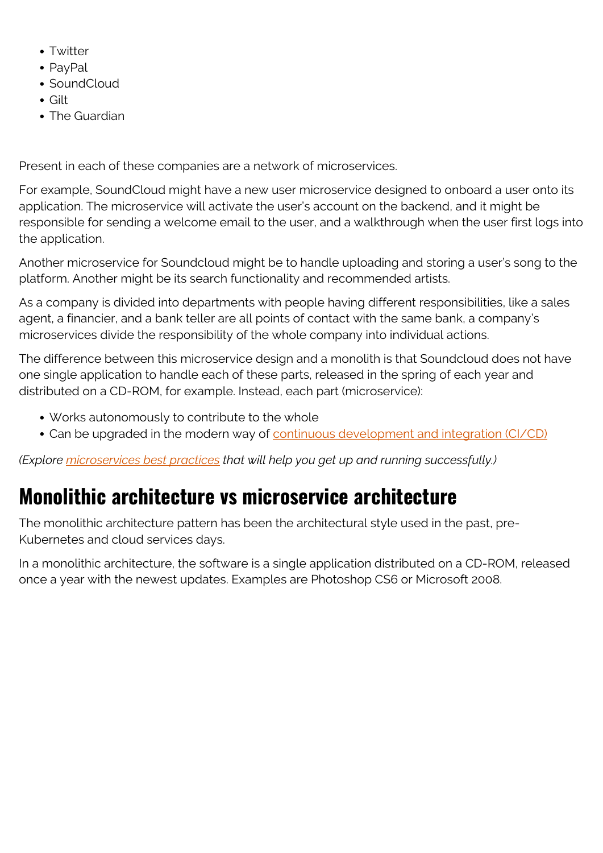- Twitter
- PavPal
- SoundCloud
- Gilt
- The Guardian

Present in each of these companies are a network of microservices.

For example, SoundCloud might have a new user microservice designed to onboard a user onto its application. The microservice will activate the user's account on the backend, and it might be responsible for sending a welcome email to the user, and a walkthrough when the user first logs into the application.

Another microservice for Soundcloud might be to handle uploading and storing a user's song to the platform. Another might be its search functionality and recommended artists.

As a company is divided into departments with people having different responsibilities, like a sales agent, a financier, and a bank teller are all points of contact with the same bank, a company's microservices divide the responsibility of the whole company into individual actions.

The difference between this microservice design and a monolith is that Soundcloud does not have one single application to handle each of these parts, released in the spring of each year and distributed on a CD-ROM, for example. Instead, each part (microservice):

- Works autonomously to contribute to the whole
- Can be upgraded in the modern way of [continuous development and integration \(CI/CD\)](https://blogs.bmc.com/blogs/what-is-ci-cd/)

*(Explore [microservices best practices](https://blogs.bmc.com/blogs/microservices-best-practices/) that will help you get up and running successfully.)*

# **Monolithic architecture vs microservice architecture**

The monolithic architecture pattern has been the architectural style used in the past, pre-Kubernetes and cloud services days.

In a monolithic architecture, the software is a single application distributed on a CD-ROM, released once a year with the newest updates. Examples are Photoshop CS6 or Microsoft 2008.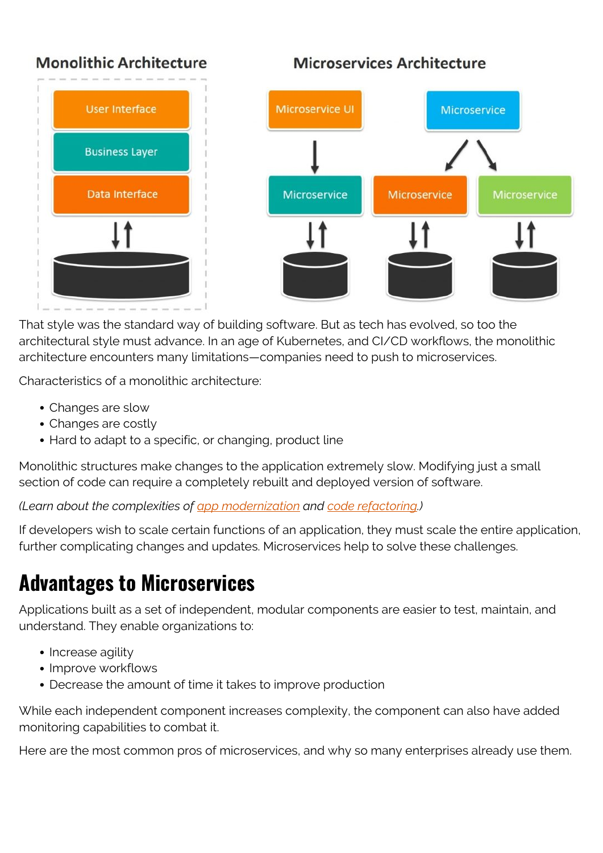#### **Monolithic Architecture**



Microservices Architecture



That style was the standard way of building software. But as tech has evolved, so too the architectural style must advance. In an age of Kubernetes, and CI/CD workflows, the monolithic architecture encounters many limitations—companies need to push to microservices.

Characteristics of a monolithic architecture:

- Changes are slow
- Changes are costly
- Hard to adapt to a specific, or changing, product line

Monolithic structures make changes to the application extremely slow. Modifying just a small section of code can require a completely rebuilt and deployed version of software.

*(Learn about the complexities of [app modernization](https://blogs.bmc.com/blogs/application-software-modernization/) and [code refactoring](https://blogs.bmc.com/blogs/code-refactoring-explained/).)*

If developers wish to scale certain functions of an application, they must scale the entire application, further complicating changes and updates. Microservices help to solve these challenges.

# **Advantages to Microservices**

Applications built as a set of independent, modular components are easier to test, maintain, and understand. They enable organizations to:

- Increase agility
- Improve workflows
- Decrease the amount of time it takes to improve production

While each independent component increases complexity, the component can also have added monitoring capabilities to combat it.

Here are the most common pros of microservices, and why so many enterprises already use them.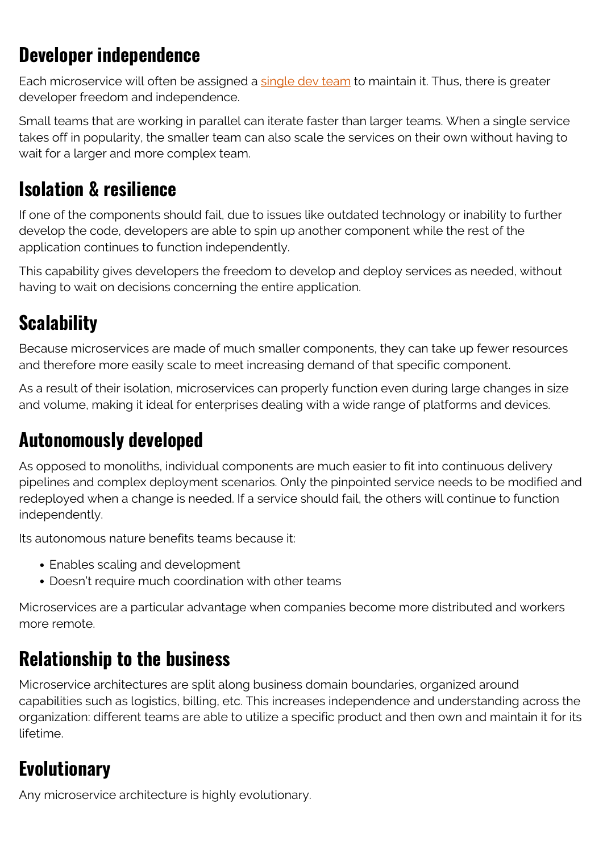### **Developer independence**

Each microservice will often be assigned a [single dev team](https://blogs.bmc.com/blogs/it-teams/) to maintain it. Thus, there is greater developer freedom and independence.

Small teams that are working in parallel can iterate faster than larger teams. When a single service takes off in popularity, the smaller team can also scale the services on their own without having to wait for a larger and more complex team.

#### **Isolation & resilience**

If one of the components should fail, due to issues like outdated technology or inability to further develop the code, developers are able to spin up another component while the rest of the application continues to function independently.

This capability gives developers the freedom to develop and deploy services as needed, without having to wait on decisions concerning the entire application.

## **Scalability**

Because microservices are made of much smaller components, they can take up fewer resources and therefore more easily scale to meet increasing demand of that specific component.

As a result of their isolation, microservices can properly function even during large changes in size and volume, making it ideal for enterprises dealing with a wide range of platforms and devices.

#### **Autonomously developed**

As opposed to monoliths, individual components are much easier to fit into continuous delivery pipelines and complex deployment scenarios. Only the pinpointed service needs to be modified and redeployed when a change is needed. If a service should fail, the others will continue to function independently.

Its autonomous nature benefits teams because it:

- Enables scaling and development
- Doesn't require much coordination with other teams

Microservices are a particular advantage when companies become more distributed and workers more remote.

## **Relationship to the business**

Microservice architectures are split along business domain boundaries, organized around capabilities such as logistics, billing, etc. This increases independence and understanding across the organization: different teams are able to utilize a specific product and then own and maintain it for its lifetime.

#### **Evolutionary**

Any microservice architecture is highly evolutionary.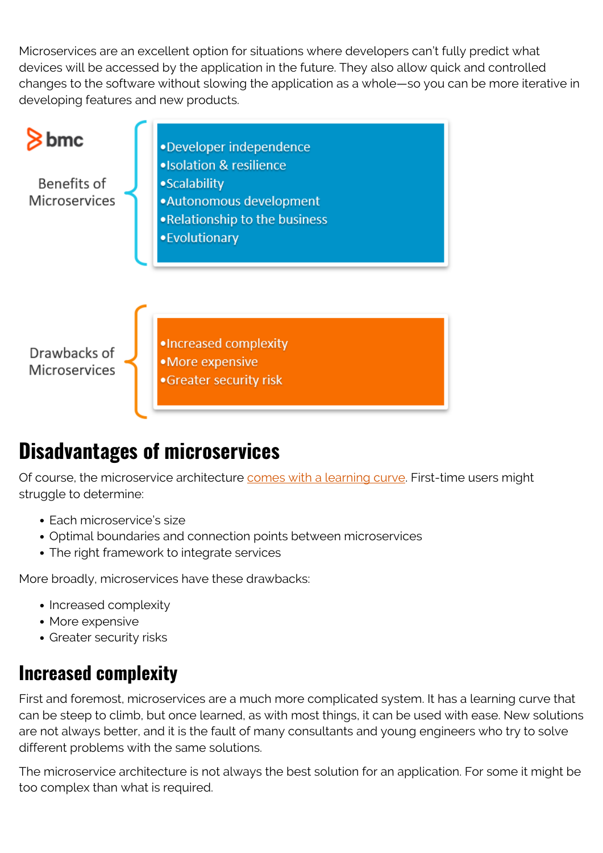Microservices are an excellent option for situations where developers can't fully predict what devices will be accessed by the application in the future. They also allow quick and controlled changes to the software without slowing the application as a whole—so you can be more iterative in developing features and new products.



# **Disadvantages of microservices**

Of course, the microservice architecture [comes with a learning curve](https://blogs.bmc.com/blogs/microservices-challenges-when-to-avoid/). First-time users might struggle to determine:

- Fach microservice's size
- Optimal boundaries and connection points between microservices
- The right framework to integrate services

More broadly, microservices have these drawbacks:

- Increased complexity
- More expensive
- Greater security risks

#### **Increased complexity**

First and foremost, microservices are a much more complicated system. It has a learning curve that can be steep to climb, but once learned, as with most things, it can be used with ease. New solutions are not always better, and it is the fault of many consultants and young engineers who try to solve different problems with the same solutions.

The microservice architecture is not always the best solution for an application. For some it might be too complex than what is required.